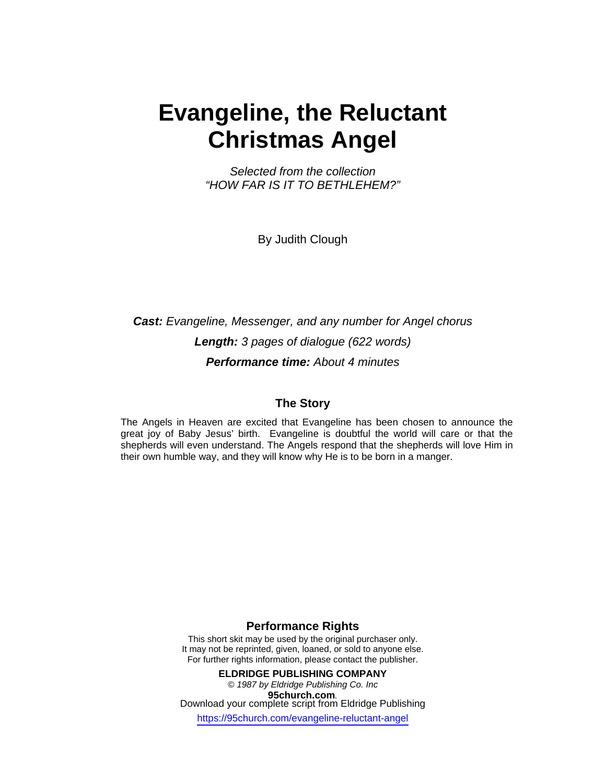# **Evangeline, the Reluctant Christmas Angel**

*Selected from the collection "HOW FAR IS IT TO BETHLEHEM?"* 

By Judith Clough

*Cast: Evangeline, Messenger, and any number for Angel chorus Length: 3 pages of dialogue (622 words) Performance time: About 4 minutes* 

### **The Story**

The Angels in Heaven are excited that Evangeline has been chosen to announce the great joy of Baby Jesus' birth. Evangeline is doubtful the world will care or that the shepherds will even understand. The Angels respond that the shepherds will love Him in their own humble way, and they will know why He is to be born in a manger.

### **Performance Rights**

This short skit may be used by the original purchaser only. It may not be reprinted, given, loaned, or sold to anyone else. For further rights information, please contact the publisher.

**ELDRIDGE PUBLISHING COMPANY**  *© 1987 by Eldridge Publishing Co. Inc*  **95church.com***.* Download your complete script from Eldridge Publishing https://95church.com/evangeline-reluctant-angel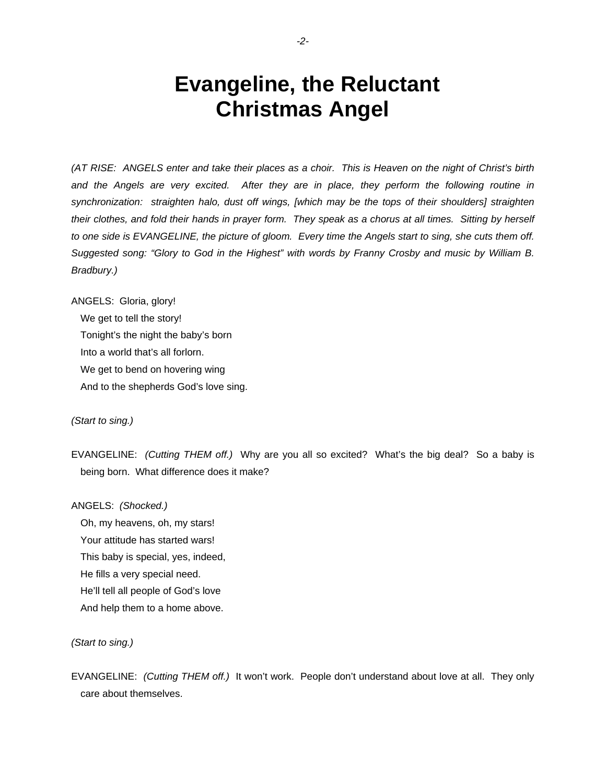## **Evangeline, the Reluctant Christmas Angel**

*(AT RISE: ANGELS enter and take their places as a choir. This is Heaven on the night of Christ's birth and the Angels are very excited. After they are in place, they perform the following routine in synchronization: straighten halo, dust off wings, [which may be the tops of their shoulders] straighten their clothes, and fold their hands in prayer form. They speak as a chorus at all times. Sitting by herself to one side is EVANGELINE, the picture of gloom. Every time the Angels start to sing, she cuts them off. Suggested song: "Glory to God in the Highest" with words by Franny Crosby and music by William B. Bradbury.)* 

ANGELS: Gloria, glory!

We get to tell the story!

Tonight's the night the baby's born

Into a world that's all forlorn.

We get to bend on hovering wing

And to the shepherds God's love sing.

*(Start to sing.)* 

EVANGELINE: *(Cutting THEM off.)* Why are you all so excited? What's the big deal? So a baby is being born. What difference does it make?

ANGELS: *(Shocked.)*

 Oh, my heavens, oh, my stars! Your attitude has started wars! This baby is special, yes, indeed, He fills a very special need. He'll tell all people of God's love And help them to a home above.

#### *(Start to sing.)*

EVANGELINE: *(Cutting THEM off.)* It won't work. People don't understand about love at all. They only care about themselves.